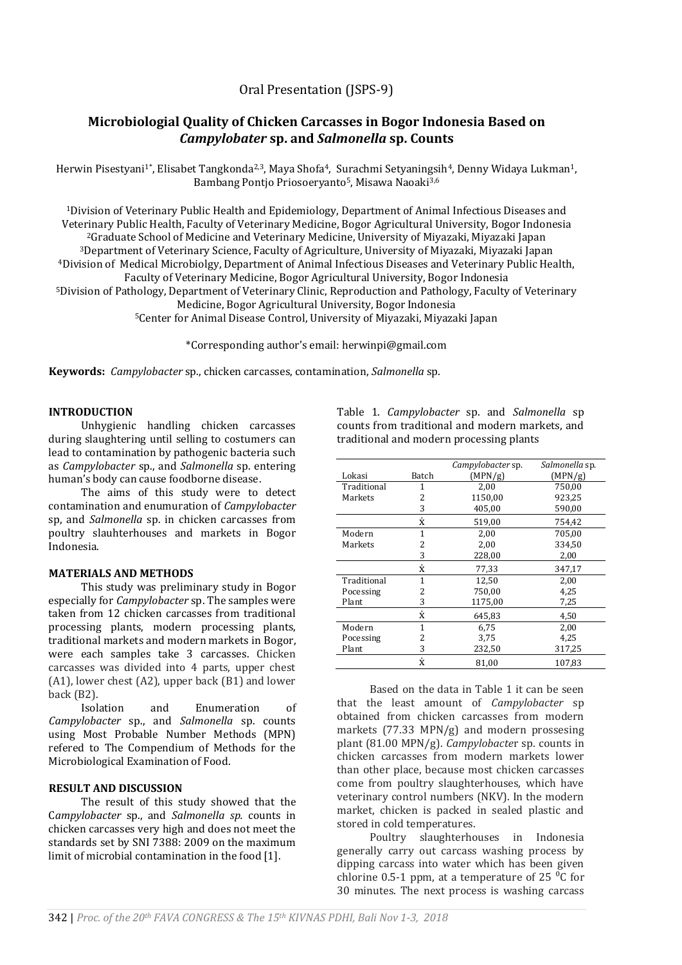# Oral Presentation (JSPS-9)

# **Microbiologial Quality of Chicken Carcasses in Bogor Indonesia Based on**  *Campylobater* **sp. and** *Salmonella* **sp. Counts**

Herwin Pisestyani<sup>1\*</sup>, Elisabet Tangkonda<sup>2,3</sup>, Maya Shofa<sup>4</sup>, Surachmi Setyaningsih<sup>4</sup>, Denny Widaya Lukman<sup>1</sup>, Bambang Pontjo Priosoeryanto5, Misawa Naoaki3,6

Division of Veterinary Public Health and Epidemiology, Department of Animal Infectious Diseases and Veterinary Public Health, Faculty of Veterinary Medicine, Bogor Agricultural University, Bogor Indonesia Graduate School of Medicine and Veterinary Medicine, University of Miyazaki, Miyazaki Japan Department of Veterinary Science, Faculty of Agriculture, University of Miyazaki, Miyazaki Japan Division of Medical Microbiolgy, Department of Animal Infectious Diseases and Veterinary Public Health, Faculty of Veterinary Medicine, Bogor Agricultural University, Bogor Indonesia Division of Pathology, Department of Veterinary Clinic, Reproduction and Pathology, Faculty of Veterinary Medicine, Bogor Agricultural University, Bogor Indonesia Center for Animal Disease Control, University of Miyazaki, Miyazaki Japan

\*Corresponding author's email: herwinpi@gmail.com

**Keywords:** *Campylobacter* sp., chicken carcasses, contamination, *Salmonella* sp.

#### **INTRODUCTION**

Unhygienic handling chicken carcasses during slaughtering until selling to costumers can lead to contamination by pathogenic bacteria such as *Campylobacter* sp., and *Salmonella* sp. entering human's body can cause foodborne disease.

The aims of this study were to detect contamination and enumuration of *Campylobacter*  sp, and *Salmonella* sp. in chicken carcasses from poultry slauhterhouses and markets in Bogor Indonesia.

## **MATERIALS AND METHODS**

This study was preliminary study in Bogor especially for *Campylobacter* sp. The samples were taken from 12 chicken carcasses from traditional processing plants, modern processing plants, traditional markets and modern markets in Bogor, were each samples take 3 carcasses. Chicken carcasses was divided into 4 parts, upper chest (A1), lower chest (A2), upper back (B1) and lower back (B2).

Isolation and Enumeration of *Campylobacter* sp., and *Salmonella* sp. counts using Most Probable Number Methods (MPN) refered to The Compendium of Methods for the Microbiological Examination of Food.

### **RESULT AND DISCUSSION**

The result of this study showed that the C*ampylobacter* sp., and *Salmonella sp.* counts in chicken carcasses very high and does not meet the standards set by SNI 7388: 2009 on the maximum limit of microbial contamination in the food [1].

Table 1. *Campylobacter* sp. and *Salmonella* sp counts from traditional and modern markets, and traditional and modern processing plants

|             |              | Campylobacter sp. | Salmonella sp. |
|-------------|--------------|-------------------|----------------|
| Lokasi      | Batch        | (MPN/g)           | (MPN/g)        |
| Traditional | 1            | 2,00              | 750,00         |
| Markets     | 2            | 1150,00           | 923,25         |
|             | 3            | 405,00            | 590,00         |
|             | ż            | 519,00            | 754,42         |
| Modern      | 1            | 2,00              | 705,00         |
| Markets     | 2            | 2,00              | 334,50         |
|             | 3            | 228,00            | 2,00           |
|             | ż            | 77,33             | 347,17         |
| Traditional | $\mathbf{1}$ | 12,50             | 2,00           |
| Pocessing   | 2            | 750,00            | 4,25           |
| Plant       | 3            | 1175,00           | 7,25           |
|             | ż            | 645,83            | 4,50           |
| Modern      | 1            | 6.75              | 2,00           |
| Pocessing   | 2            | 3.75              | 4.25           |
| Plant       | 3            | 232,50            | 317,25         |
|             | Ŷ.           | 81,00             | 107,83         |

Based on the data in Table 1 it can be seen that the least amount of *Campylobacter* sp obtained from chicken carcasses from modern markets (77.33 MPN/g) and modern prossesing plant (81.00 MPN/g). *Campylobacte*r sp. counts in chicken carcasses from modern markets lower than other place, because most chicken carcasses come from poultry slaughterhouses, which have veterinary control numbers (NKV). In the modern market, chicken is packed in sealed plastic and stored in cold temperatures.

Poultry slaughterhouses in Indonesia generally carry out carcass washing process by dipping carcass into water which has been given chlorine 0.5-1 ppm, at a temperature of 25 $\degree$ C for 30 minutes. The next process is washing carcass